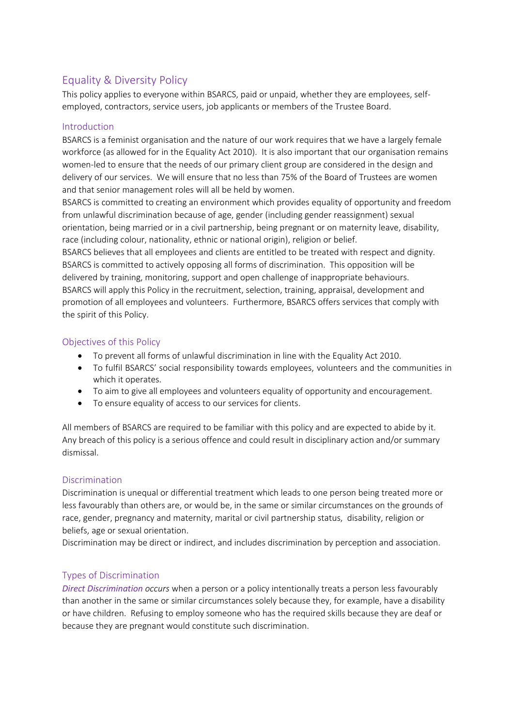# Equality & Diversity Policy

This policy applies to everyone within BSARCS, paid or unpaid, whether they are employees, selfemployed, contractors, service users, job applicants or members of the Trustee Board.

### Introduction

BSARCS is a feminist organisation and the nature of our work requires that we have a largely female workforce (as allowed for in the Equality Act 2010). It is also important that our organisation remains women-led to ensure that the needs of our primary client group are considered in the design and delivery of our services. We will ensure that no less than 75% of the Board of Trustees are women and that senior management roles will all be held by women.

BSARCS is committed to creating an environment which provides equality of opportunity and freedom from unlawful discrimination because of age, gender (including gender reassignment) sexual orientation, being married or in a civil partnership, being pregnant or on maternity leave, disability, race (including colour, nationality, ethnic or national origin), religion or belief. BSARCS believes that all employees and clients are entitled to be treated with respect and dignity.

BSARCS is committed to actively opposing all forms of discrimination. This opposition will be delivered by training, monitoring, support and open challenge of inappropriate behaviours. BSARCS will apply this Policy in the recruitment, selection, training, appraisal, development and promotion of all employees and volunteers. Furthermore, BSARCS offers services that comply with the spirit of this Policy.

# Objectives of this Policy

- To prevent all forms of unlawful discrimination in line with the Equality Act 2010.
- To fulfil BSARCS' social responsibility towards employees, volunteers and the communities in which it operates.
- To aim to give all employees and volunteers equality of opportunity and encouragement.
- To ensure equality of access to our services for clients.

All members of BSARCS are required to be familiar with this policy and are expected to abide by it. Any breach of this policy is a serious offence and could result in disciplinary action and/or summary dismissal.

### Discrimination

Discrimination is unequal or differential treatment which leads to one person being treated more or less favourably than others are, or would be, in the same or similar circumstances on the grounds of race, gender, pregnancy and maternity, marital or civil partnership status, disability, religion or beliefs, age or sexual orientation.

Discrimination may be direct or indirect, and includes discrimination by perception and association.

# Types of Discrimination

*Direct Discrimination occurs* when a person or a policy intentionally treats a person less favourably than another in the same or similar circumstances solely because they, for example, have a disability or have children. Refusing to employ someone who has the required skills because they are deaf or because they are pregnant would constitute such discrimination.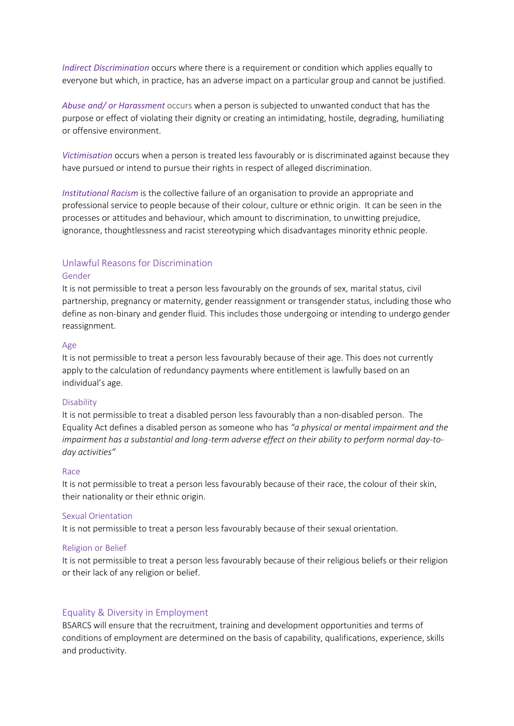*Indirect Discrimination* occurs where there is a requirement or condition which applies equally to everyone but which, in practice, has an adverse impact on a particular group and cannot be justified.

*Abuse and/ or Harassment* occurs when a person is subjected to unwanted conduct that has the purpose or effect of violating their dignity or creating an intimidating, hostile, degrading, humiliating or offensive environment.

*Victimisation* occurs when a person is treated less favourably or is discriminated against because they have pursued or intend to pursue their rights in respect of alleged discrimination.

*Institutional Racism* is the collective failure of an organisation to provide an appropriate and professional service to people because of their colour, culture or ethnic origin. It can be seen in the processes or attitudes and behaviour, which amount to discrimination, to unwitting prejudice, ignorance, thoughtlessness and racist stereotyping which disadvantages minority ethnic people.

### Unlawful Reasons for Discrimination

#### Gender

It is not permissible to treat a person less favourably on the grounds of sex, marital status, civil partnership, pregnancy or maternity, gender reassignment or transgender status, including those who define as non-binary and gender fluid. This includes those undergoing or intending to undergo gender reassignment.

#### Age

It is not permissible to treat a person less favourably because of their age. This does not currently apply to the calculation of redundancy payments where entitlement is lawfully based on an individual's age.

#### Disability

It is not permissible to treat a disabled person less favourably than a non-disabled person. The Equality Act defines a disabled person as someone who has *"a physical or mental impairment and the impairment has a substantial and long-term adverse effect on their ability to perform normal day-today activities"*

#### Race

It is not permissible to treat a person less favourably because of their race, the colour of their skin, their nationality or their ethnic origin.

#### Sexual Orientation

It is not permissible to treat a person less favourably because of their sexual orientation.

#### Religion or Belief

It is not permissible to treat a person less favourably because of their religious beliefs or their religion or their lack of any religion or belief.

### Equality & Diversity in Employment

BSARCS will ensure that the recruitment, training and development opportunities and terms of conditions of employment are determined on the basis of capability, qualifications, experience, skills and productivity.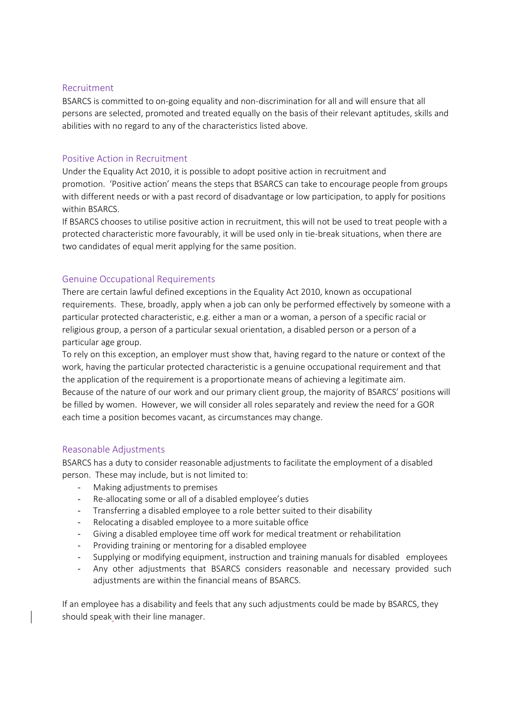### Recruitment

BSARCS is committed to on-going equality and non-discrimination for all and will ensure that all persons are selected, promoted and treated equally on the basis of their relevant aptitudes, skills and abilities with no regard to any of the characteristics listed above.

### Positive Action in Recruitment

Under the Equality Act 2010, it is possible to adopt positive action in recruitment and promotion. 'Positive action' means the steps that BSARCS can take to encourage people from groups with different needs or with a past record of disadvantage or low participation, to apply for positions within BSARCS.

If BSARCS chooses to utilise positive action in recruitment, this will not be used to treat people with a protected characteristic more favourably, it will be used only in tie-break situations, when there are two candidates of equal merit applying for the same position.

### Genuine Occupational Requirements

There are certain lawful defined exceptions in the Equality Act 2010, known as occupational requirements. These, broadly, apply when a job can only be performed effectively by someone with a particular protected characteristic, e.g. either a man or a woman, a person of a specific racial or religious group, a person of a particular sexual orientation, a disabled person or a person of a particular age group.

To rely on this exception, an employer must show that, having regard to the nature or context of the work, having the particular protected characteristic is a genuine occupational requirement and that the application of the requirement is a proportionate means of achieving a legitimate aim. Because of the nature of our work and our primary client group, the majority of BSARCS' positions will be filled by women. However, we will consider all roles separately and review the need for a GOR each time a position becomes vacant, as circumstances may change.

### Reasonable Adjustments

BSARCS has a duty to consider reasonable adjustments to facilitate the employment of a disabled person. These may include, but is not limited to:

- Making adjustments to premises
- Re-allocating some or all of a disabled employee's duties
- Transferring a disabled employee to a role better suited to their disability
- Relocating a disabled employee to a more suitable office
- Giving a disabled employee time off work for medical treatment or rehabilitation
- Providing training or mentoring for a disabled employee
- Supplying or modifying equipment, instruction and training manuals for disabled employees
- Any other adjustments that BSARCS considers reasonable and necessary provided such adjustments are within the financial means of BSARCS.

If an employee has a disability and feels that any such adjustments could be made by BSARCS, they should speak with their line manager.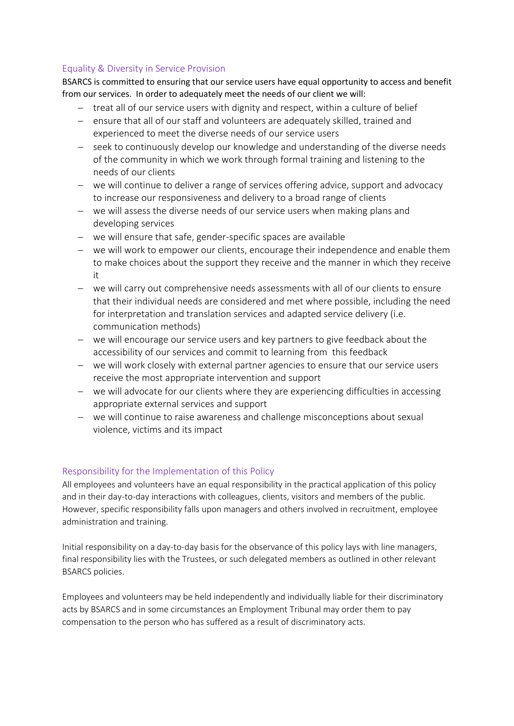## Equality & Diversity in Service Provision

BSARCS is committed to ensuring that our service users have equal opportunity to access and benefit from our services. In order to adequately meet the needs of our client we will:

- treat all of our service users with dignity and respect, within a culture of belief
- ensure that all of our staff and volunteers are adequately skilled, trained and experienced to meet the diverse needs of our service users
- seek to continuously develop our knowledge and understanding of the diverse needs of the community in which we work through formal training and listening to the needs of our clients
- we will continue to deliver a range of services offering advice, support and advocacy to increase our responsiveness and delivery to a broad range of clients
- we will assess the diverse needs of our service users when making plans and developing services
- we will ensure that safe, gender-specific spaces are available
- we will work to empower our clients, encourage their independence and enable them to make choices about the support they receive and the manner in which they receive it
- we will carry out comprehensive needs assessments with all of our clients to ensure that their individual needs are considered and met where possible, including the need for interpretation and translation services and adapted service delivery (i.e. communication methods)
- we will encourage our service users and key partners to give feedback about the accessibility of our services and commit to learning from this feedback
- we will work closely with external partner agencies to ensure that our service users receive the most appropriate intervention and support
- we will advocate for our clients where they are experiencing difficulties in accessing appropriate external services and support
- we will continue to raise awareness and challenge misconceptions about sexual violence, victims and its impact

# Responsibility for the Implementation of this Policy

All employees and volunteers have an equal responsibility in the practical application of this policy and in their day-to-day interactions with colleagues, clients, visitors and members of the public. However, specific responsibility falls upon managers and others involved in recruitment, employee administration and training.

Initial responsibility on a day-to-day basis for the observance of this policy lays with line managers, final responsibility lies with the Trustees, or such delegated members as outlined in other relevant BSARCS policies.

Employees and volunteers may be held independently and individually liable for their discriminatory acts by BSARCS and in some circumstances an Employment Tribunal may order them to pay compensation to the person who has suffered as a result of discriminatory acts.